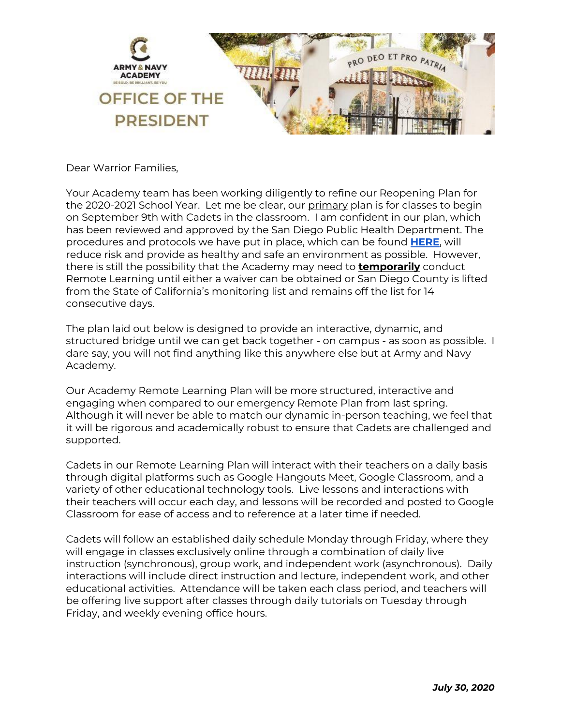

Dear Warrior Families,

Your Academy team has been working diligently to refine our Reopening Plan for the 2020-2021 School Year. Let me be clear, our primary plan is for classes to begin on September 9th with Cadets in the classroom. I am confident in our plan, which has been reviewed and approved by the San Diego Public Health Department. The procedures and protocols we have put in place, which can be found **[HERE](http://track.spe.schoolmessenger.com/f/a/t7WvS5EYaB0I62VfdHuAyQ~~/AAAAAQA~/RgRhBHARP0Q8aHR0cHM6Ly9hcm15YW5kbmF2eWFjYWRlbXkub3JnL2NhbXB1cy1yZW9wZW5pbmctaW5mb3JtYXRpb24vVwdzY2hvb2xtQgoAR5E8I18kT8IIUhdsaHNtaXRoQGFuYXdhcnJpb3JzLm9yZ1gEAAAAAQ~~)**, will reduce risk and provide as healthy and safe an environment as possible. However, there is still the possibility that the Academy may need to **temporarily** conduct Remote Learning until either a waiver can be obtained or San Diego County is lifted from the State of California's monitoring list and remains off the list for 14 consecutive days.

The plan laid out below is designed to provide an interactive, dynamic, and structured bridge until we can get back together - on campus - as soon as possible. I dare say, you will not find anything like this anywhere else but at Army and Navy Academy.

Our Academy Remote Learning Plan will be more structured, interactive and engaging when compared to our emergency Remote Plan from last spring. Although it will never be able to match our dynamic in-person teaching, we feel that it will be rigorous and academically robust to ensure that Cadets are challenged and supported.

Cadets in our Remote Learning Plan will interact with their teachers on a daily basis through digital platforms such as Google Hangouts Meet, Google Classroom, and a variety of other educational technology tools. Live lessons and interactions with their teachers will occur each day, and lessons will be recorded and posted to Google Classroom for ease of access and to reference at a later time if needed.

Cadets will follow an established daily schedule Monday through Friday, where they will engage in classes exclusively online through a combination of daily live instruction (synchronous), group work, and independent work (asynchronous). Daily interactions will include direct instruction and lecture, independent work, and other educational activities. Attendance will be taken each class period, and teachers will be offering live support after classes through daily tutorials on Tuesday through Friday, and weekly evening office hours.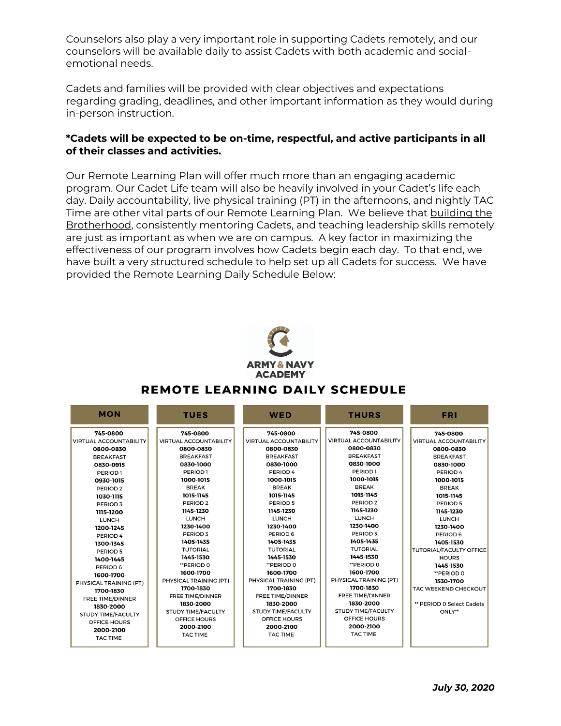Counselors also play a very important role in supporting Cadets remotely, and our counselors will be available daily to assist Cadets with both academic and socialemotional needs.

Cadets and families will be provided with clear objectives and expectations regarding grading, deadlines, and other important information as they would during in-person instruction.

## **\*Cadets will be expected to be on-time, respectful, and active participants in all of their classes and activities.**

Our Remote Learning Plan will offer much more than an engaging academic program. Our Cadet Life team will also be heavily involved in your Cadet's life each day. Daily accountability, live physical training (PT) in the afternoons, and nightly TAC Time are other vital parts of our Remote Learning Plan. We believe that building the Brotherhood, consistently mentoring Cadets, and teaching leadership skills remotely are just as important as when we are on campus. A key factor in maximizing the effectiveness of our program involves how Cadets begin each day. To that end, we have built a very structured schedule to help set up all Cadets for success. We have provided the Remote Learning Daily Schedule Below:



| <b>MON</b>                                                                                                                                                                                                                                                                                                                                                                                                       | <b>TUES</b>                                                                                                                                                                                                                                                                                                                                                                                                                                    | <b>WED</b>                                                                                                                                                                                                                                                                                                                                                                                                   | <b>THURS</b>                                                                                                                                                                                                                                                                                                                                                                                                                       | <b>FRI</b>                                                                                                                                                                                                                                                                                                                                                                            |
|------------------------------------------------------------------------------------------------------------------------------------------------------------------------------------------------------------------------------------------------------------------------------------------------------------------------------------------------------------------------------------------------------------------|------------------------------------------------------------------------------------------------------------------------------------------------------------------------------------------------------------------------------------------------------------------------------------------------------------------------------------------------------------------------------------------------------------------------------------------------|--------------------------------------------------------------------------------------------------------------------------------------------------------------------------------------------------------------------------------------------------------------------------------------------------------------------------------------------------------------------------------------------------------------|------------------------------------------------------------------------------------------------------------------------------------------------------------------------------------------------------------------------------------------------------------------------------------------------------------------------------------------------------------------------------------------------------------------------------------|---------------------------------------------------------------------------------------------------------------------------------------------------------------------------------------------------------------------------------------------------------------------------------------------------------------------------------------------------------------------------------------|
| 745-0800<br><b>VIRTUAL ACCOUNTABILITY</b><br>0800-0830<br><b>BREAKFAST</b><br>0830-0915<br>PERIOD <sub>1</sub><br>0930-1015<br>PERIOD <sub>2</sub><br>1030-1115<br>PERIOD <sub>3</sub><br>1115-1200<br><b>LUNCH</b><br>1200-1245<br>PERIOD 4<br>1300-1345<br>PERIOD 5<br>1400-1445<br>PERIOD 6<br>1600-1700<br>PHYSICAL TRAINING (PT)<br>1700-1830<br><b>FREE TIME/DINNER</b><br>1830-2000<br>STUDY TIME/FACULTY | 745-0800<br><b>VIRTUAL ACCOUNTABILITY</b><br>0800-0830<br><b>BREAKFAST</b><br>0830-1000<br>PERIOD <sub>1</sub><br>1000-1015<br><b>BREAK</b><br>1015-1145<br>PERIOD <sub>2</sub><br>1145-1230<br><b>LUNCH</b><br>1230-1400<br>PERIOD <sub>3</sub><br>1405-1435<br><b>TUTORIAL</b><br>1445-1530<br>** PERIOD 0<br>1600-1700<br>PHYSICAL TRAINING (PT)<br>1700-1830<br><b>FREE TIME/DINNER</b><br>1830-2000<br>STUDY TIME/FACULTY<br>OFFICE HOURS | 745-0800<br><b>VIRTUAL ACCOUNTABILITY</b><br>0800-0830<br><b>BREAKFAST</b><br>0830-1000<br>PERIOD 4<br>1000-1015<br><b>BREAK</b><br>1015-1145<br>PERIOD 5<br>1145-1230<br><b>LUNCH</b><br>1230-1400<br>PERIOD 6<br>1405-1435<br><b>TUTORIAL</b><br>1445-1530<br>**PERIOD 0<br>1600-1700<br>PHYSICAL TRAINING (PT)<br>1700-1830<br><b>FREE TIME/DINNER</b><br>1830-2000<br>STUDY TIME/FACULTY<br>OFFICE HOURS | 745-0800<br><b>VIRTUAL ACCOUNTABILITY</b><br>0800-0830<br><b>BREAKFAST</b><br>0830-1000<br>PERIOD <sub>1</sub><br>1000-1015<br><b>BREAK</b><br>1015-1145<br>PERIOD <sub>2</sub><br>1145-1230<br><b>LUNCH</b><br>1230-1400<br>PERIOD 3<br>1405-1435<br><b>TUTORIAL</b><br>1445-1530<br>**PERIOD 0<br>1600-1700<br>PHYSICAL TRAINING (PT)<br>1700-1830<br><b>FREE TIME/DINNER</b><br>1830-2000<br>STUDY TIME/FACULTY<br>OFFICE HOURS | 745-0800<br><b>VIRTUAL ACCOUNTABILITY</b><br>0800-0830<br><b>BREAKFAST</b><br>0830-1000<br>PERIOD 4<br>1000-1015<br><b>BREAK</b><br>1015-1145<br>PERIOD 5<br>1145-1230<br><b>LUNCH</b><br>1230-1400<br>PERIOD 6<br>1405-1530<br><b>TUTORIAL/FACULTY OFFICE</b><br><b>HOURS</b><br>1445-1530<br>**PERIOD 0<br>1530-1700<br>TAC WEEKEND CHECKOUT<br>** PERIOD 0 Select Cadets<br>ONLY** |
| OFFICE HOURS<br>2000-2100<br><b>TAC TIME</b>                                                                                                                                                                                                                                                                                                                                                                     | 2000-2100<br><b>TAC TIME</b>                                                                                                                                                                                                                                                                                                                                                                                                                   | 2000-2100<br><b>TAC TIME</b>                                                                                                                                                                                                                                                                                                                                                                                 | 2000-2100<br><b>TAC TIME</b>                                                                                                                                                                                                                                                                                                                                                                                                       |                                                                                                                                                                                                                                                                                                                                                                                       |
|                                                                                                                                                                                                                                                                                                                                                                                                                  |                                                                                                                                                                                                                                                                                                                                                                                                                                                |                                                                                                                                                                                                                                                                                                                                                                                                              |                                                                                                                                                                                                                                                                                                                                                                                                                                    |                                                                                                                                                                                                                                                                                                                                                                                       |

## REMOTE LEARNING DAILY SCHEDULE